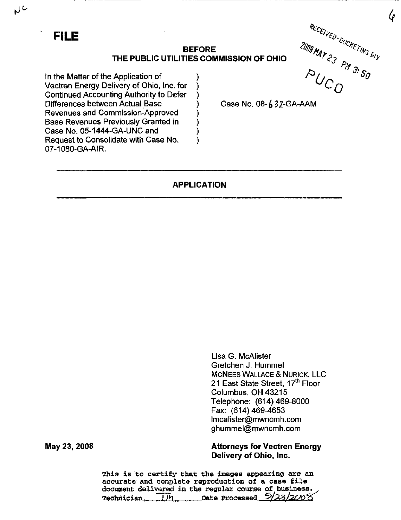### BEFORE THE PUBLIC UTILITIES COMMISSION OF OHIO

In the Matter of the Application of Vectren Energy Delivery of Ohio, inc. for Continued Accounting Authority to Defer Differences between Actual Base Revenues and Commission-Approved Base Revenues Previously Granted in Case No. 05-1444-GA-UNC and Request to Consolidate with Case No. 07-1080-GA-AIR.

FILE  $\mathcal{H}_{\mathcal{C}_d}$  $\epsilon/\nu_{\xi_{D-}}$ % ' %  $\overline{O}$ 

 $\pmb{\mathcal{G}}$ 

Case No.  $08-\cancel{6}32$ -GA-AAM

# APPLICATION

Lisa G. McAlister Gretchen J. Hummel MCNEES WALLACE & NURICK, LLC 21 East State Street. 17<sup>th</sup> Floor Columbus, OH 43215 Telephone: (614)469-8000 Fax: (614) 469-4653 [lmcalister@mwncmh.com](mailto:lmcalister@mwncmh.com)  [ghummel@mwncmh.com](mailto:ghummel@mwncmh.com) 

Attorneys for Vectren Energy Delivery of Ohio, Inc.

This is to certify that the images appearing are an accurate and complete reproduction of a case file document delivered in the regular course of business.<br>The processed  $\frac{5}{2}$  $Technician$   $J$ <sup> $y$ </sup> $n$   $Date$   $Procesed$ 

May 23, 2008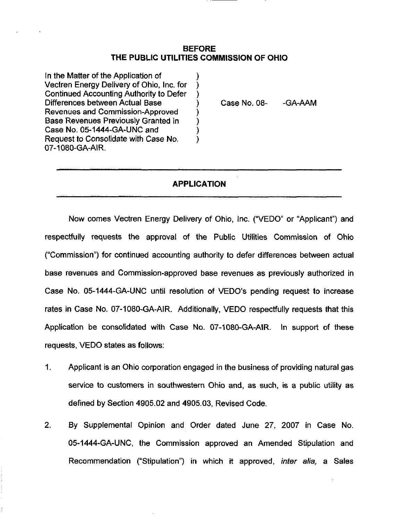# BEFORE THE PUBLIC UTILITIES COMMISSION OF OHIO

In the Matter of the Application of Vectren Energy Delivery of Ohio, Inc. for Continued Accounting Authority to Defer Differences between Actual Base Revenues and Commission-Approved Base Revenues Previously Granted in Case No. 05-1444-GA-UNC and Request to Consolidate with Case No. 07-1080-GA-AIR.

Case No. 08- -GA-AAM

# APPLICATION

 $\lambda$ 

Now comes Vectren Energy Delivery of Ohio, Inc. ("VEDO" or "Applicant") and respectfully requests the approval of the Public Utilities Commission of Ohio ("Commission") for continued accounting authority to defer differences between actual base revenues and Commission-approved base revenues as previously authorized in Case No. 05-1444-GA-UNC until resolution of VEDO's pending request to increase rates in Case No. 07-1080-GA-AIR. Additionally, VEDO respectfully requests that this Application be consolidated with Case No. 07-1080-GA-AIR. In support of these requests, VEDO states as follows:

- 1. Applicant is an Ohio corporation engaged in the business of providing natural gas service to customers in southwestern Ohio and, as such, is a public utility as defined by Section 4905.02 and 4905.03, Revised Code.
- 2. By Supplemental Opinion and Order dated June 27, 2007 in Case No. 05-1444-GA-UNC, the Commission approved an Amended Stipulation and Recommendation ("Stipulation") in which it approved, inter alia, a Sales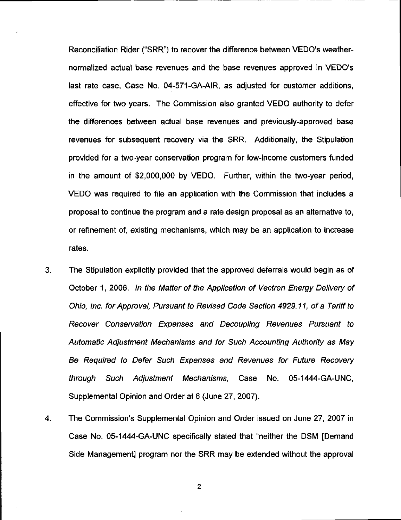Reconciliation Rider ("SRR") to recover the difference between VEDO's weathernormalized actual base revenues and the base revenues approved in VEDO's last rate case, Case No. 04-571-GA-AIR, as adjusted for customer additions, effective for two years. The Commission also granted VEDO authority to defer the differences between actual base revenues and previously-approved base revenues for subsequent recovery via the SRR. Additionally, the Stipulation provided for a two-year conservation program for low-income customers funded in the amount of \$2,000,000 by VEDO. Further, within the two-year period, VEDO was required to file an application with the Commission that includes a proposal to continue the program and a rate design proposal as an alternative to, or refinement of, existing mechanisms, which may be an application to increase rates.

- 3. The Stipulation explicitly provided that the approved deferrals would begin as of October 1, 2006. In the Matter of the Application of Vectren Energy Delivery of Ohio, Inc. for Approval, Pursuant to Revised Code Section 4929.11, of a Tariff to Recover Conservation Expenses and Decoupling Revenues Pursuant to Automatic Adjustment Mechanisms and for Such Accounting Authority as May Be Required to Defer Such Expenses and Revenues for Future Recovery through Such Adjustment Mechanisms, Case No. 05-1444-GA-UNC, Supplemental Opinion and Order at 6 (June 27, 2007).
- 4. The Commission's Supplemental Opinion and Order issued on June 27, 2007 in Case No. 05-1444-GA-UNC specifically stated that "neither the DSM [Demand Side Management] program nor the SRR may be extended without the approval

 $\boldsymbol{2}$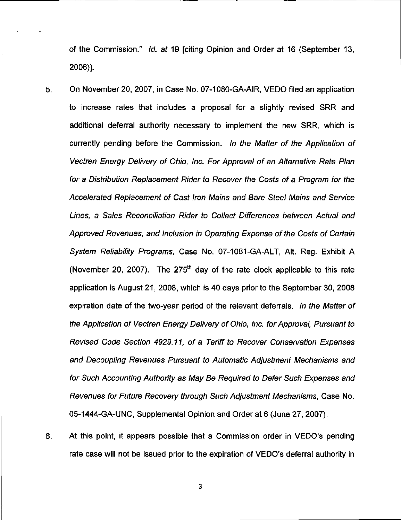of the Commission." Id. at 19 [citing Opinion and Order at 16 (September 13, 2006)].

- 5. On November 20, 2007, in Case No. 07-1080-GA-AIR, VEDO filed an application to increase rates that includes a proposal for a slightly revised SRR and additional deferral authority necessary to implement the new SRR, which is currently pending before the Commission. In the Matter of the Application of Vectren Energy Delivery of Ohio, Inc. For Approval of an Alternative Rate Plan for a Distribution Replacement Rider to Recover the Costs of a Program for the Accelerated Replacement of Cast Iron Mains and Bare Steel Mains and Service Lines, a Sales Reconciliation Rider to Collect Differences between Actual and Approved Revenues, and Inclusion in Operating Expense of the Costs of Certain System Reliability Programs, Case No. 07-1081-GA-ALT, Alt. Reg. Exhibit A (November 20, 2007). The  $275<sup>th</sup>$  day of the rate clock applicable to this rate application is August 21, 2008, which is 40 days prior to the September 30, 2008 expiration date of the two-year period of the relevant deferrals. In the Matter of the Application of Vectren Energy Delivery of Ohio, Inc. for Approval, Pursuant to Revised Code Section 4929.11, of a Tariff to Recover Conservation Expenses and Decoupling Revenues Pursuant to Automatic Adjustment Mechanisms and for Such Accounting Authority as May Be Required to Defer Such Expenses and Revenues for Future Recovery through Such Adjustment Mechanisms, Case No. 05-1444-GA-UNC, Supplemental Opinion and Order at 6 (June 27, 2007).
- 
- 6. At this point, it appears possible that a Commission order in VEDO's pending rate case will not be issued prior to the expiration of VEDO's deferral authority in

3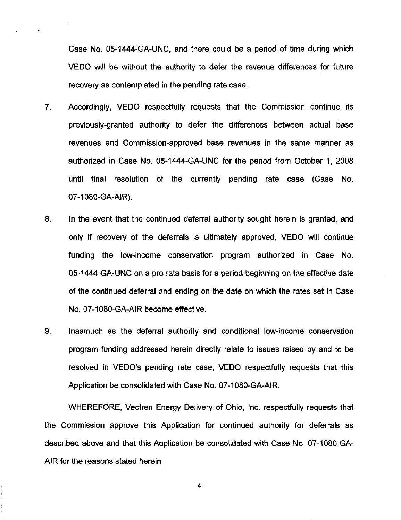Case No. 05-1444-GA-UNC, and there could be a period of time during which VEDO will be without the authority to defer the revenue differences for future recovery as contemplated in the pending rate case.

- 7. Accordingly, VEDO respectfully requests that the Commission continue its previously-granted authority to defer the differences between actual base revenues and Commission-approved base revenues in the same manner as authorized in Case No. 05-1444-GA-UNC for the period from October 1, 2008 until final resolution of the currently pending rate case (Case No. 07-1080-GA-AIR).
- 8. In the event that the continued deferral authority sought herein is granted, and only if recovery of the deferrals is ultimately approved, VEDO will continue funding the low-income conservation program authorized in Case No. 05-1444-GA-UNC on a pro rata basis for a period beginning on the effective date of the continued deferral and ending on the date on which the rates set in Case No. 07-1080-GA-AIR become effective.
- 9. Inasmuch as the deferral authority and conditional low-income conservation program funding addressed herein directly relate to issues raised by and to be resolved in VEDO's pending rate case, VEDO respectfully requests that this Application be consolidated with Case No. 07-1080-GA-AIR.

WHEREFORE, Vectren Energy Delivery of Ohio, Inc. respectfully requests that the Commission approve this Application for continued authority for deferrals as described above and that this Application be consolidated with Case No. 07-1080-GA-AIR for the reasons stated herein.

4